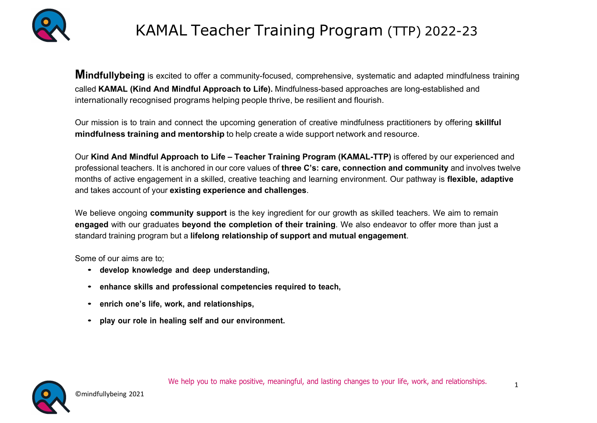

## KAMAL Teacher Training Program (TTP) 2022-23

**Mindfullybeing** is excited to offer a community-focused, comprehensive, systematic and adapted mindfulness training called KAMAL (Kind And Mindful Approach to Life). Mindfulness-based approaches are long-established and internationally recognised programs helping people thrive, be resilient and flourish.

Our mission is to train and connect the upcoming generation of creative mindfulness practitioners by offering skillful mindfulness training and mentorship to help create a wide support network and resource.

Our Kind And Mindful Approach to Life – Teacher Training Program (KAMAL-TTP) is offered by our experienced and professional teachers. It is anchored in our core values of three C's: care, connection and community and involves twelve months of active engagement in a skilled, creative teaching and learning environment. Our pathway is flexible, adaptive and takes account of your existing experience and challenges.

We believe ongoing community support is the key ingredient for our growth as skilled teachers. We aim to remain engaged with our graduates beyond the completion of their training. We also endeavor to offer more than just a standard training program but a lifelong relationship of support and mutual engagement.

Some of our aims are to;

- develop knowledge and deep understanding,
- enhance skills and professional competencies required to teach,
- enrich one's life, work, and relationships,
- play our role in healing self and our environment.

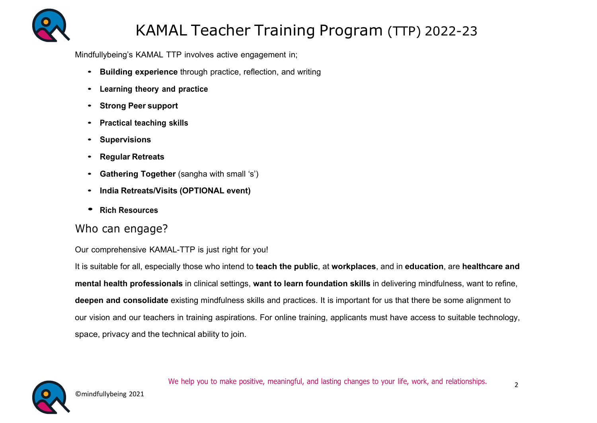

## KAMAL Teacher Training Program (TTP) 2022-23

Mindfullybeing's KAMAL TTP involves active engagement in;

- Building experience through practice, reflection, and writing
- Learning theory and practice
- Strong Peer support
- Practical teaching skills
- Supervisions
- Regular Retreats
- Gathering Together (sangha with small 's')
- India Retreats/Visits (OPTIONAL event)
- Rich Resources

### Who can engage?

#### Our comprehensive KAMAL-TTP is just right for you!

It is suitable for all, especially those who intend to teach the public, at workplaces, and in education, are healthcare and mental health professionals in clinical settings, want to learn foundation skills in delivering mindfulness, want to refine, deepen and consolidate existing mindfulness skills and practices. It is important for us that there be some alignment to our vision and our teachers in training aspirations. For online training, applicants must have access to suitable technology, space, privacy and the technical ability to join.

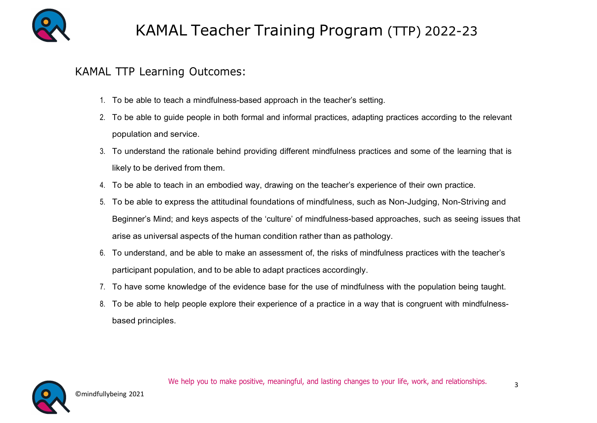

### KAMAL TTP Learning Outcomes:

- 1. To be able to teach a mindfulness-based approach in the teacher's setting.
- 2. To be able to guide people in both formal and informal practices, adapting practices according to the relevant population and service.
- 3. To understand the rationale behind providing different mindfulness practices and some of the learning that is likely to be derived from them.
- 4. To be able to teach in an embodied way, drawing on the teacher's experience of their own practice.
- 5. To be able to express the attitudinal foundations of mindfulness, such as Non-Judging, Non-Striving and Beginner's Mind; and keys aspects of the 'culture' of mindfulness-based approaches, such as seeing issues that arise as universal aspects of the human condition rather than as pathology.
- 6. To understand, and be able to make an assessment of, the risks of mindfulness practices with the teacher's participant population, and to be able to adapt practices accordingly.
- 7. To have some knowledge of the evidence base for the use of mindfulness with the population being taught.
- 8. To be able to help people explore their experience of a practice in a way that is congruent with mindfulnessbased principles.